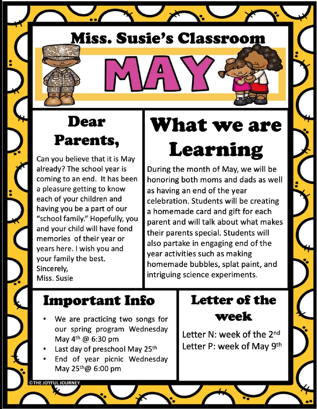

# Miss. Susie's Classroom

# Dear Parents,

Can you believe that it is May already? The school year is coming to an end. It has been a pleasure getting to know each of your children and having you be a part of our "school family." Hopefully, you and your child will have fond memories of their year or years here. I wish you and your family the best. Sincerely, Miss. Susie

# **What we are Learning**

During the month of May, we will be honoring both moms and dads as well as having an end of the year celebration. Students will be creating a homemade card and gift for each parent and will talk about what makes their parents special. Students will also partake in engaging end of the year activities such as making homemade bubbles, splat paint, and intriguing science experiments.

# **Important Info**

- We are practicing two songs for our spring program Wednesday May 4<sup>th</sup> @ 6:30 pm
- Last day of preschool May 25th
- End of year picnic Wednesday May 25<sup>th</sup>@ 6:00 pm

**Letter of the** week

Letter N: week of the 2<sup>nd</sup> Letter P: week of May 9th

**CTHE JOYFUL JOURNEY**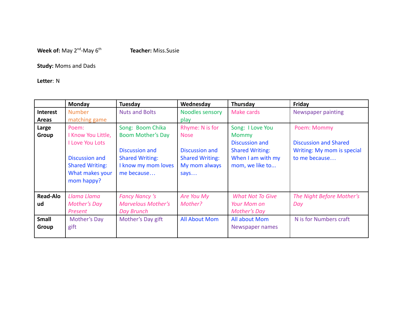Week of: May 2<sup>nd</sup>-May 6<sup>th</sup>

**Teacher:** Miss.Susie

## **Study:** Moms and Dads

#### **Letter**: N

|                          | <b>Monday</b>                                                                                                                      | Tuesday                                                                                                                              | Wednesday                                                                                                  | Thursday                                                                                                             | Friday                                                                                     |
|--------------------------|------------------------------------------------------------------------------------------------------------------------------------|--------------------------------------------------------------------------------------------------------------------------------------|------------------------------------------------------------------------------------------------------------|----------------------------------------------------------------------------------------------------------------------|--------------------------------------------------------------------------------------------|
| Interest<br><b>Areas</b> | <b>Number</b><br>matching game                                                                                                     | <b>Nuts and Bolts</b>                                                                                                                | Noodles sensory<br>play                                                                                    | Make cards                                                                                                           | Newspaper painting                                                                         |
| Large<br>Group           | Poem:<br>I Know You Little,<br>I Love You Lots<br><b>Discussion and</b><br><b>Shared Writing:</b><br>What makes your<br>mom happy? | Song: Boom Chika<br><b>Boom Mother's Day</b><br><b>Discussion and</b><br><b>Shared Writing:</b><br>I know my mom loves<br>me because | Rhyme: N is for<br><b>Nose</b><br><b>Discussion and</b><br><b>Shared Writing:</b><br>My mom always<br>says | Song: I Love You<br><b>Mommy</b><br>Discussion and<br><b>Shared Writing:</b><br>When I am with my<br>mom, we like to | Poem: Mommy<br><b>Discussion and Shared</b><br>Writing: My mom is special<br>to me because |
| <b>Read-Alo</b><br>ud    | Llama Llama<br>Mother's Day<br>Present                                                                                             | <b>Fancy Nancy's</b><br><b>Marvelous Mother's</b><br>Day Brunch                                                                      | Are You My<br>Mother?                                                                                      | <b>What Not To Give</b><br>Your Mom on<br>Mother's Day                                                               | The Night Before Mother's<br>Day                                                           |
| Small<br><b>Group</b>    | Mother's Day<br>gift                                                                                                               | Mother's Day gift                                                                                                                    | <b>All About Mom</b>                                                                                       | <b>All about Mom</b><br>Newspaper names                                                                              | N is for Numbers craft                                                                     |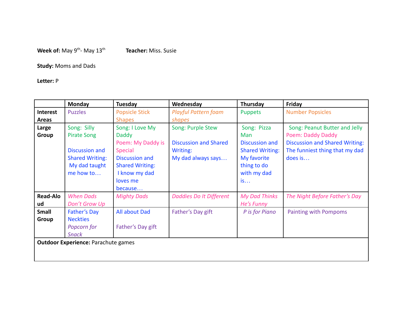Week of: May 9<sup>th</sup>- May 13<sup>th</sup>

Teacher: Miss. Susie

## **Study:** Moms and Dads

#### **Letter:** P

|                                            | <b>Monday</b>          | Tuesday                | Wednesday                      | Thursday               | Friday                                |  |
|--------------------------------------------|------------------------|------------------------|--------------------------------|------------------------|---------------------------------------|--|
| Interest                                   | <b>Puzzles</b>         | <b>Popsicle Stick</b>  | <b>Playful Pattern foam</b>    | <b>Puppets</b>         | <b>Number Popsicles</b>               |  |
| <b>Areas</b>                               |                        | <b>Shapes</b>          | shapes                         |                        |                                       |  |
| Large                                      | Song: Silly            | Song: I Love My        | Song: Purple Stew              | Song: Pizza            | Song: Peanut Butter and Jelly         |  |
| Group                                      | <b>Pirate Song</b>     | <b>Daddy</b>           |                                | Man                    | Poem: Daddy Daddy                     |  |
|                                            |                        | Poem: My Daddy is      | <b>Discussion and Shared</b>   | <b>Discussion and</b>  | <b>Discussion and Shared Writing:</b> |  |
|                                            | Discussion and         | <b>Special</b>         | Writing:                       | <b>Shared Writing:</b> | The funniest thing that my dad        |  |
|                                            | <b>Shared Writing:</b> | <b>Discussion and</b>  | My dad always says             | My favorite            | does is                               |  |
|                                            | My dad taught          | <b>Shared Writing:</b> |                                | thing to do            |                                       |  |
|                                            | me how to              | I know my dad          |                                | with my dad            |                                       |  |
|                                            |                        | loves me               |                                | is                     |                                       |  |
|                                            |                        | because                |                                |                        |                                       |  |
| <b>Read-Alo</b>                            | <b>When Dads</b>       | <b>Mighty Dads</b>     | <b>Daddies Do It Different</b> | <b>My Dad Thinks</b>   | The Night Before Father's Day         |  |
| ud                                         | Don't Grow Up          |                        |                                | He's Funny             |                                       |  |
| Small                                      | Father's Day           | All about Dad          | Father's Day gift              | P is for Piano         | <b>Painting with Pompoms</b>          |  |
| Group                                      | <b>Neckties</b>        |                        |                                |                        |                                       |  |
|                                            | Popcorn for            | Father's Day gift      |                                |                        |                                       |  |
|                                            | <b>Snack</b>           |                        |                                |                        |                                       |  |
| <b>Outdoor Experience: Parachute games</b> |                        |                        |                                |                        |                                       |  |
|                                            |                        |                        |                                |                        |                                       |  |
|                                            |                        |                        |                                |                        |                                       |  |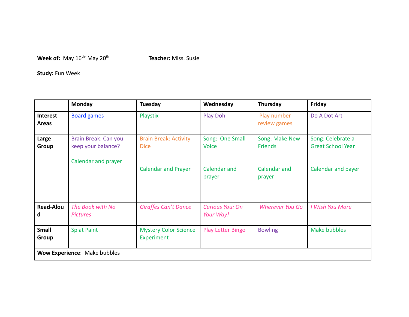**Week of:** May  $16^{th}$  May  $20^{th}$  **Teacher:** Miss. Susie

**Study:** Fun Week

|                                     | Monday                                                            | Tuesday                                                            | Wednesday                                          | Thursday                                                   | Friday                                                              |
|-------------------------------------|-------------------------------------------------------------------|--------------------------------------------------------------------|----------------------------------------------------|------------------------------------------------------------|---------------------------------------------------------------------|
| <b>Interest</b><br><b>Areas</b>     | <b>Board games</b>                                                | Playstix                                                           | Play Doh                                           | Play number<br>review games                                | Do A Dot Art                                                        |
| Large<br>Group                      | Brain Break: Can you<br>keep your balance?<br>Calendar and prayer | <b>Brain Break: Activity</b><br>Dice<br><b>Calendar and Prayer</b> | Song: One Small<br>Voice<br>Calendar and<br>prayer | Song: Make New<br><b>Friends</b><br>Calendar and<br>prayer | Song: Celebrate a<br><b>Great School Year</b><br>Calendar and payer |
| <b>Read-Alou</b><br>d               | The Book with No<br><b>Pictures</b>                               | <b>Giraffes Can't Dance</b>                                        | <b>Curious You: On</b><br>Your Way!                | <b>Wherever You Go</b>                                     | I Wish You More                                                     |
| <b>Small</b><br><b>Group</b>        | <b>Splat Paint</b>                                                | <b>Mystery Color Science</b><br>Experiment                         | <b>Play Letter Bingo</b>                           | <b>Bowling</b>                                             | <b>Make bubbles</b>                                                 |
| <b>Wow Experience: Make bubbles</b> |                                                                   |                                                                    |                                                    |                                                            |                                                                     |